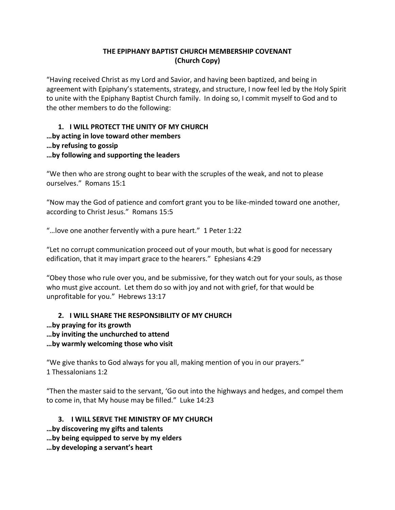# **THE EPIPHANY BAPTIST CHURCH MEMBERSHIP COVENANT (Church Copy)**

"Having received Christ as my Lord and Savior, and having been baptized, and being in agreement with Epiphany's statements, strategy, and structure, I now feel led by the Holy Spirit to unite with the Epiphany Baptist Church family. In doing so, I commit myself to God and to the other members to do the following:

### **1. I WILL PROTECT THE UNITY OF MY CHURCH …by acting in love toward other members …by refusing to gossip …by following and supporting the leaders**

"We then who are strong ought to bear with the scruples of the weak, and not to please ourselves." Romans 15:1

"Now may the God of patience and comfort grant you to be like-minded toward one another, according to Christ Jesus." Romans 15:5

"…love one another fervently with a pure heart." 1 Peter 1:22

"Let no corrupt communication proceed out of your mouth, but what is good for necessary edification, that it may impart grace to the hearers." Ephesians 4:29

"Obey those who rule over you, and be submissive, for they watch out for your souls, as those who must give account. Let them do so with joy and not with grief, for that would be unprofitable for you." Hebrews 13:17

### **2. I WILL SHARE THE RESPONSIBILITY OF MY CHURCH**

- **…by praying for its growth**
- **…by inviting the unchurched to attend**

**…by warmly welcoming those who visit**

"We give thanks to God always for you all, making mention of you in our prayers." 1 Thessalonians 1:2

"Then the master said to the servant, 'Go out into the highways and hedges, and compel them to come in, that My house may be filled." Luke 14:23

# **3. I WILL SERVE THE MINISTRY OF MY CHURCH**

- **…by discovering my gifts and talents**
- **…by being equipped to serve by my elders**
- **…by developing a servant's heart**